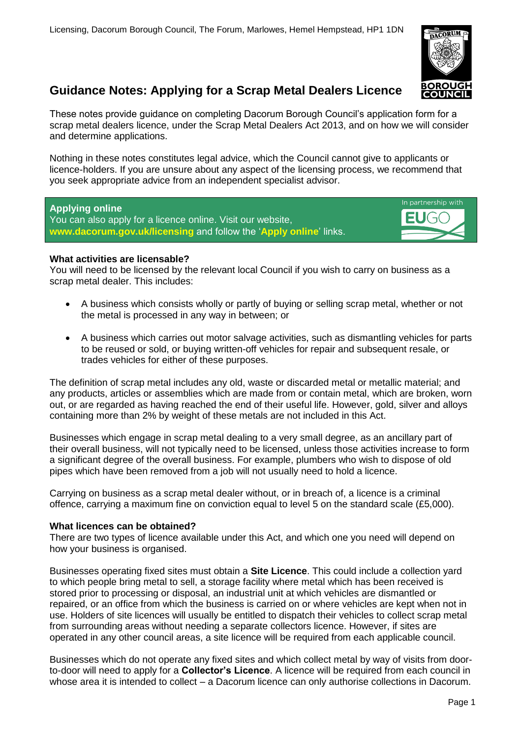

# **Guidance Notes: Applying for a Scrap Metal Dealers Licence**

These notes provide guidance on completing Dacorum Borough Council's application form for a scrap metal dealers licence, under the Scrap Metal Dealers Act 2013, and on how we will consider and determine applications.

Nothing in these notes constitutes legal advice, which the Council cannot give to applicants or licence-holders. If you are unsure about any aspect of the licensing process, we recommend that you seek appropriate advice from an independent specialist advisor.

# **Applying online**

You can also apply for a licence online. Visit our website, **[www.dacorum.gov.uk/licensing](http://www.dacorum.gov.uk/licensing)** and follow the '**Apply online**' links.



# **What activities are licensable?**

You will need to be licensed by the relevant local Council if you wish to carry on business as a scrap metal dealer. This includes:

- A business which consists wholly or partly of buying or selling scrap metal, whether or not the metal is processed in any way in between; or
- A business which carries out motor salvage activities, such as dismantling vehicles for parts to be reused or sold, or buying written-off vehicles for repair and subsequent resale, or trades vehicles for either of these purposes.

The definition of scrap metal includes any old, waste or discarded metal or metallic material; and any products, articles or assemblies which are made from or contain metal, which are broken, worn out, or are regarded as having reached the end of their useful life. However, gold, silver and alloys containing more than 2% by weight of these metals are not included in this Act.

Businesses which engage in scrap metal dealing to a very small degree, as an ancillary part of their overall business, will not typically need to be licensed, unless those activities increase to form a significant degree of the overall business. For example, plumbers who wish to dispose of old pipes which have been removed from a job will not usually need to hold a licence.

Carrying on business as a scrap metal dealer without, or in breach of, a licence is a criminal offence, carrying a maximum fine on conviction equal to level 5 on the standard scale (£5,000).

# **What licences can be obtained?**

There are two types of licence available under this Act, and which one you need will depend on how your business is organised.

Businesses operating fixed sites must obtain a **Site Licence**. This could include a collection yard to which people bring metal to sell, a storage facility where metal which has been received is stored prior to processing or disposal, an industrial unit at which vehicles are dismantled or repaired, or an office from which the business is carried on or where vehicles are kept when not in use. Holders of site licences will usually be entitled to dispatch their vehicles to collect scrap metal from surrounding areas without needing a separate collectors licence. However, if sites are operated in any other council areas, a site licence will be required from each applicable council.

Businesses which do not operate any fixed sites and which collect metal by way of visits from doorto-door will need to apply for a **Collector's Licence**. A licence will be required from each council in whose area it is intended to collect – a Dacorum licence can only authorise collections in Dacorum.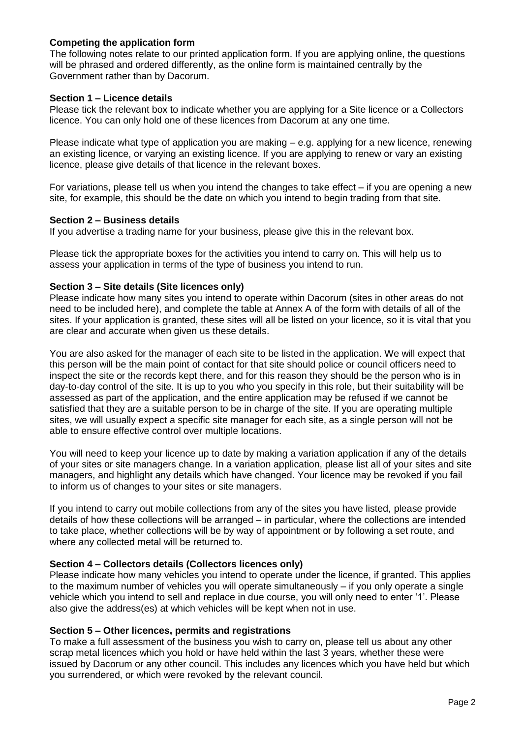# **Competing the application form**

The following notes relate to our printed application form. If you are applying online, the questions will be phrased and ordered differently, as the online form is maintained centrally by the Government rather than by Dacorum.

## **Section 1 – Licence details**

Please tick the relevant box to indicate whether you are applying for a Site licence or a Collectors licence. You can only hold one of these licences from Dacorum at any one time.

Please indicate what type of application you are making – e.g. applying for a new licence, renewing an existing licence, or varying an existing licence. If you are applying to renew or vary an existing licence, please give details of that licence in the relevant boxes.

For variations, please tell us when you intend the changes to take effect  $-$  if you are opening a new site, for example, this should be the date on which you intend to begin trading from that site.

## **Section 2 – Business details**

If you advertise a trading name for your business, please give this in the relevant box.

Please tick the appropriate boxes for the activities you intend to carry on. This will help us to assess your application in terms of the type of business you intend to run.

## **Section 3 – Site details (Site licences only)**

Please indicate how many sites you intend to operate within Dacorum (sites in other areas do not need to be included here), and complete the table at Annex A of the form with details of all of the sites. If your application is granted, these sites will all be listed on your licence, so it is vital that you are clear and accurate when given us these details.

You are also asked for the manager of each site to be listed in the application. We will expect that this person will be the main point of contact for that site should police or council officers need to inspect the site or the records kept there, and for this reason they should be the person who is in day-to-day control of the site. It is up to you who you specify in this role, but their suitability will be assessed as part of the application, and the entire application may be refused if we cannot be satisfied that they are a suitable person to be in charge of the site. If you are operating multiple sites, we will usually expect a specific site manager for each site, as a single person will not be able to ensure effective control over multiple locations.

You will need to keep your licence up to date by making a variation application if any of the details of your sites or site managers change. In a variation application, please list all of your sites and site managers, and highlight any details which have changed. Your licence may be revoked if you fail to inform us of changes to your sites or site managers.

If you intend to carry out mobile collections from any of the sites you have listed, please provide details of how these collections will be arranged – in particular, where the collections are intended to take place, whether collections will be by way of appointment or by following a set route, and where any collected metal will be returned to.

# **Section 4 – Collectors details (Collectors licences only)**

Please indicate how many vehicles you intend to operate under the licence, if granted. This applies to the maximum number of vehicles you will operate simultaneously – if you only operate a single vehicle which you intend to sell and replace in due course, you will only need to enter '1'. Please also give the address(es) at which vehicles will be kept when not in use.

# **Section 5 – Other licences, permits and registrations**

To make a full assessment of the business you wish to carry on, please tell us about any other scrap metal licences which you hold or have held within the last 3 years, whether these were issued by Dacorum or any other council. This includes any licences which you have held but which you surrendered, or which were revoked by the relevant council.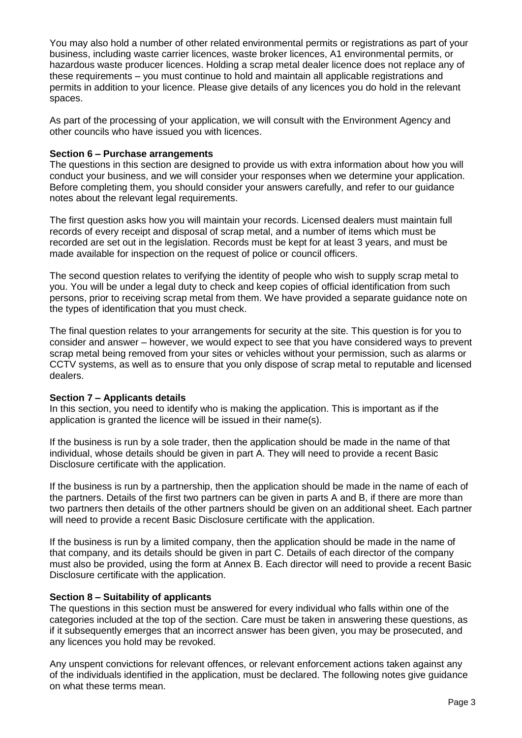You may also hold a number of other related environmental permits or registrations as part of your business, including waste carrier licences, waste broker licences, A1 environmental permits, or hazardous waste producer licences. Holding a scrap metal dealer licence does not replace any of these requirements – you must continue to hold and maintain all applicable registrations and permits in addition to your licence. Please give details of any licences you do hold in the relevant spaces.

As part of the processing of your application, we will consult with the Environment Agency and other councils who have issued you with licences.

## **Section 6 – Purchase arrangements**

The questions in this section are designed to provide us with extra information about how you will conduct your business, and we will consider your responses when we determine your application. Before completing them, you should consider your answers carefully, and refer to our guidance notes about the relevant legal requirements.

The first question asks how you will maintain your records. Licensed dealers must maintain full records of every receipt and disposal of scrap metal, and a number of items which must be recorded are set out in the legislation. Records must be kept for at least 3 years, and must be made available for inspection on the request of police or council officers.

The second question relates to verifying the identity of people who wish to supply scrap metal to you. You will be under a legal duty to check and keep copies of official identification from such persons, prior to receiving scrap metal from them. We have provided a separate guidance note on the types of identification that you must check.

The final question relates to your arrangements for security at the site. This question is for you to consider and answer – however, we would expect to see that you have considered ways to prevent scrap metal being removed from your sites or vehicles without your permission, such as alarms or CCTV systems, as well as to ensure that you only dispose of scrap metal to reputable and licensed dealers.

# **Section 7 – Applicants details**

In this section, you need to identify who is making the application. This is important as if the application is granted the licence will be issued in their name(s).

If the business is run by a sole trader, then the application should be made in the name of that individual, whose details should be given in part A. They will need to provide a recent Basic Disclosure certificate with the application.

If the business is run by a partnership, then the application should be made in the name of each of the partners. Details of the first two partners can be given in parts A and B, if there are more than two partners then details of the other partners should be given on an additional sheet. Each partner will need to provide a recent Basic Disclosure certificate with the application.

If the business is run by a limited company, then the application should be made in the name of that company, and its details should be given in part C. Details of each director of the company must also be provided, using the form at Annex B. Each director will need to provide a recent Basic Disclosure certificate with the application.

#### **Section 8 – Suitability of applicants**

The questions in this section must be answered for every individual who falls within one of the categories included at the top of the section. Care must be taken in answering these questions, as if it subsequently emerges that an incorrect answer has been given, you may be prosecuted, and any licences you hold may be revoked.

Any unspent convictions for relevant offences, or relevant enforcement actions taken against any of the individuals identified in the application, must be declared. The following notes give guidance on what these terms mean.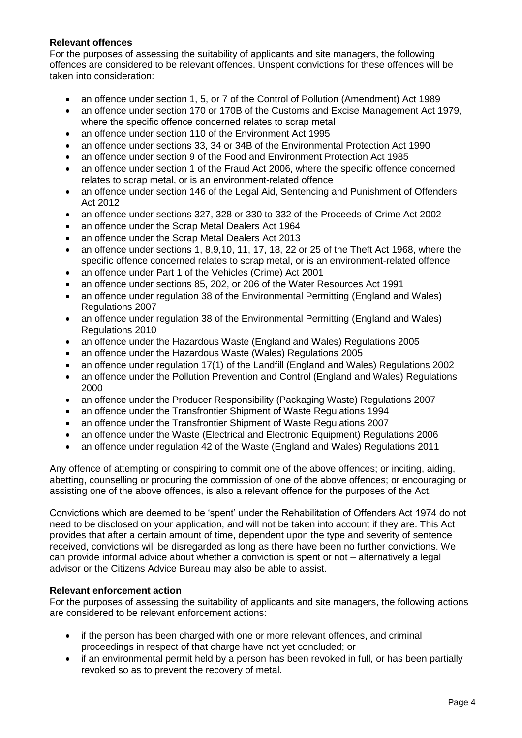# **Relevant offences**

For the purposes of assessing the suitability of applicants and site managers, the following offences are considered to be relevant offences. Unspent convictions for these offences will be taken into consideration:

- an offence under section 1, 5, or 7 of the Control of Pollution (Amendment) Act 1989
- an offence under section 170 or 170B of the Customs and Excise Management Act 1979, where the specific offence concerned relates to scrap metal
- an offence under section 110 of the Environment Act 1995
- an offence under sections 33, 34 or 34B of the Environmental Protection Act 1990
- an offence under section 9 of the Food and Environment Protection Act 1985
- an offence under section 1 of the Fraud Act 2006, where the specific offence concerned relates to scrap metal, or is an environment-related offence
- an offence under section 146 of the Legal Aid, Sentencing and Punishment of Offenders Act 2012
- an offence under sections 327, 328 or 330 to 332 of the Proceeds of Crime Act 2002
- an offence under the Scrap Metal Dealers Act 1964
- an offence under the Scrap Metal Dealers Act 2013
- an offence under sections 1, 8,9,10, 11, 17, 18, 22 or 25 of the Theft Act 1968, where the specific offence concerned relates to scrap metal, or is an environment-related offence
- an offence under Part 1 of the Vehicles (Crime) Act 2001
- an offence under sections 85, 202, or 206 of the Water Resources Act 1991
- an offence under regulation 38 of the Environmental Permitting (England and Wales) Regulations 2007
- an offence under regulation 38 of the Environmental Permitting (England and Wales) Regulations 2010
- an offence under the Hazardous Waste (England and Wales) Regulations 2005
- an offence under the Hazardous Waste (Wales) Regulations 2005
- an offence under regulation 17(1) of the Landfill (England and Wales) Regulations 2002
- an offence under the Pollution Prevention and Control (England and Wales) Regulations 2000
- an offence under the Producer Responsibility (Packaging Waste) Regulations 2007
- an offence under the Transfrontier Shipment of Waste Regulations 1994
- an offence under the Transfrontier Shipment of Waste Regulations 2007
- an offence under the Waste (Electrical and Electronic Equipment) Regulations 2006
- an offence under regulation 42 of the Waste (England and Wales) Regulations 2011

Any offence of attempting or conspiring to commit one of the above offences; or inciting, aiding, abetting, counselling or procuring the commission of one of the above offences; or encouraging or assisting one of the above offences, is also a relevant offence for the purposes of the Act.

Convictions which are deemed to be 'spent' under the Rehabilitation of Offenders Act 1974 do not need to be disclosed on your application, and will not be taken into account if they are. This Act provides that after a certain amount of time, dependent upon the type and severity of sentence received, convictions will be disregarded as long as there have been no further convictions. We can provide informal advice about whether a conviction is spent or not – alternatively a legal advisor or the Citizens Advice Bureau may also be able to assist.

# **Relevant enforcement action**

For the purposes of assessing the suitability of applicants and site managers, the following actions are considered to be relevant enforcement actions:

- if the person has been charged with one or more relevant offences, and criminal proceedings in respect of that charge have not yet concluded; or
- if an environmental permit held by a person has been revoked in full, or has been partially revoked so as to prevent the recovery of metal.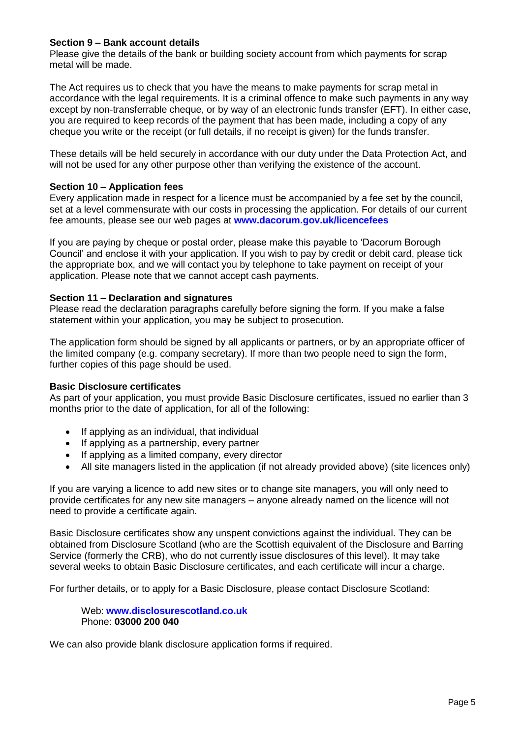# **Section 9 – Bank account details**

Please give the details of the bank or building society account from which payments for scrap metal will be made.

The Act requires us to check that you have the means to make payments for scrap metal in accordance with the legal requirements. It is a criminal offence to make such payments in any way except by non-transferrable cheque, or by way of an electronic funds transfer (EFT). In either case, you are required to keep records of the payment that has been made, including a copy of any cheque you write or the receipt (or full details, if no receipt is given) for the funds transfer.

These details will be held securely in accordance with our duty under the Data Protection Act, and will not be used for any other purpose other than verifying the existence of the account.

## **Section 10 – Application fees**

Every application made in respect for a licence must be accompanied by a fee set by the council, set at a level commensurate with our costs in processing the application. For details of our current fee amounts, please see our web pages at **[www.dacorum.gov.uk/licencefees](http://www.dacorum.gov.uk/licencefees)**

If you are paying by cheque or postal order, please make this payable to 'Dacorum Borough Council' and enclose it with your application. If you wish to pay by credit or debit card, please tick the appropriate box, and we will contact you by telephone to take payment on receipt of your application. Please note that we cannot accept cash payments.

## **Section 11 – Declaration and signatures**

Please read the declaration paragraphs carefully before signing the form. If you make a false statement within your application, you may be subject to prosecution.

The application form should be signed by all applicants or partners, or by an appropriate officer of the limited company (e.g. company secretary). If more than two people need to sign the form, further copies of this page should be used.

#### **Basic Disclosure certificates**

As part of your application, you must provide Basic Disclosure certificates, issued no earlier than 3 months prior to the date of application, for all of the following:

- If applying as an individual, that individual
- If applying as a partnership, every partner
- If applying as a limited company, every director
- All site managers listed in the application (if not already provided above) (site licences only)

If you are varying a licence to add new sites or to change site managers, you will only need to provide certificates for any new site managers – anyone already named on the licence will not need to provide a certificate again.

Basic Disclosure certificates show any unspent convictions against the individual. They can be obtained from Disclosure Scotland (who are the Scottish equivalent of the Disclosure and Barring Service (formerly the CRB), who do not currently issue disclosures of this level). It may take several weeks to obtain Basic Disclosure certificates, and each certificate will incur a charge.

For further details, or to apply for a Basic Disclosure, please contact Disclosure Scotland:

Web: **[www.disclosurescotland.co.uk](http://www.disclosurescotland.co.uk/)** Phone: **03000 200 040**

We can also provide blank disclosure application forms if required.